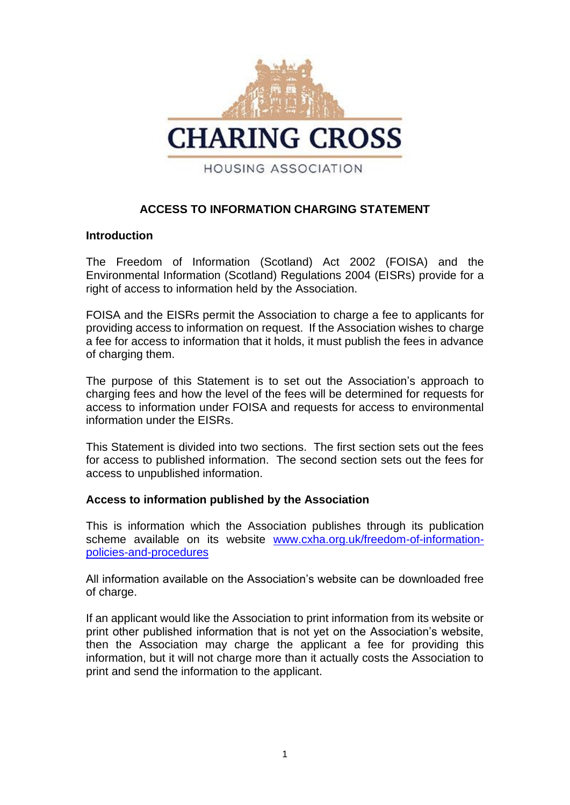

# **ACCESS TO INFORMATION CHARGING STATEMENT**

#### **Introduction**

The Freedom of Information (Scotland) Act 2002 (FOISA) and the Environmental Information (Scotland) Regulations 2004 (EISRs) provide for a right of access to information held by the Association.

FOISA and the EISRs permit the Association to charge a fee to applicants for providing access to information on request. If the Association wishes to charge a fee for access to information that it holds, it must publish the fees in advance of charging them.

The purpose of this Statement is to set out the Association's approach to charging fees and how the level of the fees will be determined for requests for access to information under FOISA and requests for access to environmental information under the EISRs.

This Statement is divided into two sections. The first section sets out the fees for access to published information. The second section sets out the fees for access to unpublished information.

## **Access to information published by the Association**

This is information which the Association publishes through its publication scheme available on its website [www.cxha.org.uk/freedom-of-information](http://www.cxha.org.uk/freedom-of-information-policies-and-procedures)[policies-and-procedures](http://www.cxha.org.uk/freedom-of-information-policies-and-procedures)

All information available on the Association's website can be downloaded free of charge.

If an applicant would like the Association to print information from its website or print other published information that is not yet on the Association's website, then the Association may charge the applicant a fee for providing this information, but it will not charge more than it actually costs the Association to print and send the information to the applicant.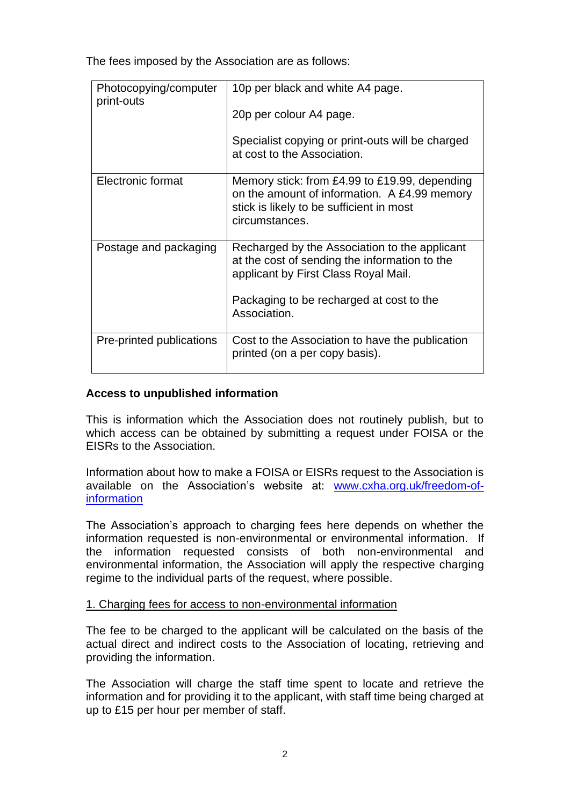The fees imposed by the Association are as follows:

| Photocopying/computer<br>print-outs | 10p per black and white A4 page.                                                                                                                                                                   |
|-------------------------------------|----------------------------------------------------------------------------------------------------------------------------------------------------------------------------------------------------|
|                                     | 20p per colour A4 page.                                                                                                                                                                            |
|                                     | Specialist copying or print-outs will be charged<br>at cost to the Association.                                                                                                                    |
| Electronic format                   | Memory stick: from £4.99 to £19.99, depending<br>on the amount of information. A £4.99 memory<br>stick is likely to be sufficient in most<br>circumstances.                                        |
| Postage and packaging               | Recharged by the Association to the applicant<br>at the cost of sending the information to the<br>applicant by First Class Royal Mail.<br>Packaging to be recharged at cost to the<br>Association. |
| Pre-printed publications            | Cost to the Association to have the publication                                                                                                                                                    |
|                                     | printed (on a per copy basis).                                                                                                                                                                     |

# **Access to unpublished information**

This is information which the Association does not routinely publish, but to which access can be obtained by submitting a request under FOISA or the EISRs to the Association.

Information about how to make a FOISA or EISRs request to the Association is available on the Association's website at: [www.cxha.org.uk/freedom-of](http://www.cxha.org.uk/freedom-of-information)[information](http://www.cxha.org.uk/freedom-of-information)

The Association's approach to charging fees here depends on whether the information requested is non-environmental or environmental information. If the information requested consists of both non-environmental and environmental information, the Association will apply the respective charging regime to the individual parts of the request, where possible.

#### 1. Charging fees for access to non-environmental information

The fee to be charged to the applicant will be calculated on the basis of the actual direct and indirect costs to the Association of locating, retrieving and providing the information.

The Association will charge the staff time spent to locate and retrieve the information and for providing it to the applicant, with staff time being charged at up to £15 per hour per member of staff.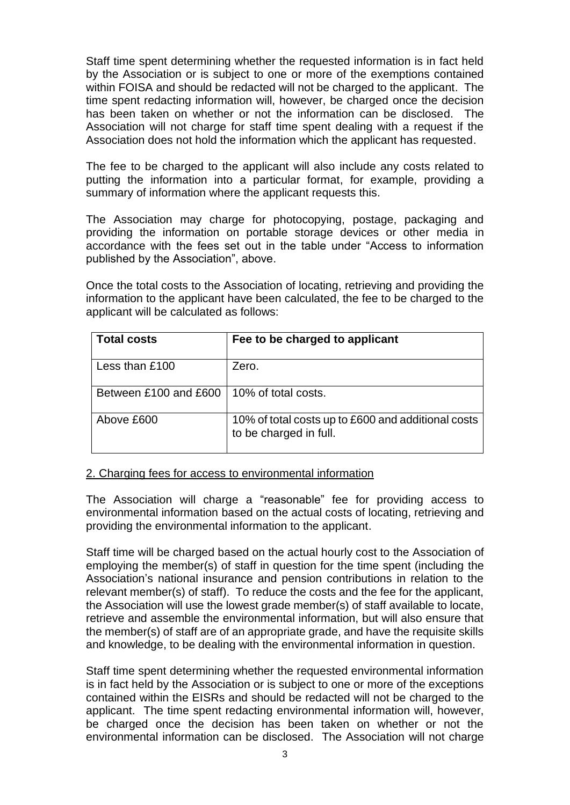Staff time spent determining whether the requested information is in fact held by the Association or is subject to one or more of the exemptions contained within FOISA and should be redacted will not be charged to the applicant. The time spent redacting information will, however, be charged once the decision has been taken on whether or not the information can be disclosed. The Association will not charge for staff time spent dealing with a request if the Association does not hold the information which the applicant has requested.

The fee to be charged to the applicant will also include any costs related to putting the information into a particular format, for example, providing a summary of information where the applicant requests this.

The Association may charge for photocopying, postage, packaging and providing the information on portable storage devices or other media in accordance with the fees set out in the table under "Access to information published by the Association", above.

Once the total costs to the Association of locating, retrieving and providing the information to the applicant have been calculated, the fee to be charged to the applicant will be calculated as follows:

| <b>Total costs</b>    | Fee to be charged to applicant                                               |
|-----------------------|------------------------------------------------------------------------------|
| Less than £100        | Zero.                                                                        |
| Between £100 and £600 | 10% of total costs.                                                          |
| Above £600            | 10% of total costs up to £600 and additional costs<br>to be charged in full. |

#### 2. Charging fees for access to environmental information

The Association will charge a "reasonable" fee for providing access to environmental information based on the actual costs of locating, retrieving and providing the environmental information to the applicant.

Staff time will be charged based on the actual hourly cost to the Association of employing the member(s) of staff in question for the time spent (including the Association's national insurance and pension contributions in relation to the relevant member(s) of staff). To reduce the costs and the fee for the applicant, the Association will use the lowest grade member(s) of staff available to locate, retrieve and assemble the environmental information, but will also ensure that the member(s) of staff are of an appropriate grade, and have the requisite skills and knowledge, to be dealing with the environmental information in question.

Staff time spent determining whether the requested environmental information is in fact held by the Association or is subject to one or more of the exceptions contained within the EISRs and should be redacted will not be charged to the applicant. The time spent redacting environmental information will, however, be charged once the decision has been taken on whether or not the environmental information can be disclosed. The Association will not charge